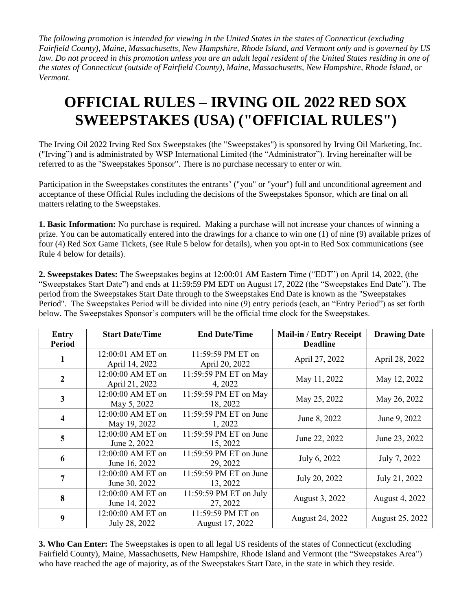*The following promotion is intended for viewing in the United States in the states of Connecticut (excluding Fairfield County), Maine, Massachusetts, New Hampshire, Rhode Island, and Vermont only and is governed by US law. Do not proceed in this promotion unless you are an adult legal resident of the United States residing in one of the states of Connecticut (outside of Fairfield County), Maine, Massachusetts, New Hampshire, Rhode Island, or Vermont.* 

## **OFFICIAL RULES – IRVING OIL 2022 RED SOX SWEEPSTAKES (USA) ("OFFICIAL RULES")**

The Irving Oil 2022 Irving Red Sox Sweepstakes (the "Sweepstakes") is sponsored by Irving Oil Marketing, Inc. ("Irving") and is administrated by WSP International Limited (the "Administrator"). Irving hereinafter will be referred to as the "Sweepstakes Sponsor". There is no purchase necessary to enter or win.

Participation in the Sweepstakes constitutes the entrants' ("you" or "your") full and unconditional agreement and acceptance of these Official Rules including the decisions of the Sweepstakes Sponsor, which are final on all matters relating to the Sweepstakes.

**1. Basic Information:** No purchase is required. Making a purchase will not increase your chances of winning a prize. You can be automatically entered into the drawings for a chance to win one (1) of nine (9) available prizes of four (4) Red Sox Game Tickets, (see Rule 5 below for details), when you opt-in to Red Sox communications (see Rule 4 below for details).

**2. Sweepstakes Dates:** The Sweepstakes begins at 12:00:01 AM Eastern Time ("EDT") on April 14, 2022, (the "Sweepstakes Start Date") and ends at 11:59:59 PM EDT on August 17, 2022 (the "Sweepstakes End Date"). The period from the Sweepstakes Start Date through to the Sweepstakes End Date is known as the "Sweepstakes Period". The Sweepstakes Period will be divided into nine (9) entry periods (each, an "Entry Period") as set forth below. The Sweepstakes Sponsor's computers will be the official time clock for the Sweepstakes.

| <b>Entry</b>            | <b>Start Date/Time</b> | <b>End Date/Time</b>   | <b>Mail-in / Entry Receipt</b> | <b>Drawing Date</b> |
|-------------------------|------------------------|------------------------|--------------------------------|---------------------|
| Period                  |                        |                        | <b>Deadline</b>                |                     |
| 1                       | 12:00:01 AM ET on      | 11:59:59 PM ET on      | April 27, 2022                 | April 28, 2022      |
|                         | April 14, 2022         | April 20, 2022         |                                |                     |
| $\overline{2}$          | 12:00:00 AM ET on      | 11:59:59 PM ET on May  | May 11, 2022                   | May 12, 2022        |
|                         | April 21, 2022         | 4, 2022                |                                |                     |
| $\overline{\mathbf{3}}$ | 12:00:00 AM ET on      | 11:59:59 PM ET on May  | May 25, 2022                   | May 26, 2022        |
|                         | May 5, 2022            | 18, 2022               |                                |                     |
| $\overline{\mathbf{4}}$ | 12:00:00 AM ET on      | 11:59:59 PM ET on June | June 8, 2022                   | June 9, 2022        |
|                         | May 19, 2022           | 1, 2022                |                                |                     |
| 5                       | 12:00:00 AM ET on      | 11:59:59 PM ET on June | June 22, 2022                  | June 23, 2022       |
|                         | June 2, 2022           | 15, 2022               |                                |                     |
| 6                       | 12:00:00 AM ET on      | 11:59:59 PM ET on June | July 6, 2022                   | July 7, 2022        |
|                         | June 16, 2022          | 29, 2022               |                                |                     |
| 7                       | 12:00:00 AM ET on      | 11:59:59 PM ET on June | July 20, 2022                  | July 21, 2022       |
|                         | June 30, 2022          | 13, 2022               |                                |                     |
| 8                       | 12:00:00 AM ET on      | 11:59:59 PM ET on July |                                | August 4, 2022      |
|                         | June 14, 2022          | 27, 2022               | August 3, 2022                 |                     |
| 9                       | 12:00:00 AM ET on      | 11:59:59 PM ET on      |                                |                     |
|                         | July 28, 2022          | August 17, 2022        | August 24, 2022                | August 25, 2022     |

**3. Who Can Enter:** The Sweepstakes is open to all legal US residents of the states of Connecticut (excluding Fairfield County), Maine, Massachusetts, New Hampshire, Rhode Island and Vermont (the "Sweepstakes Area") who have reached the age of majority, as of the Sweepstakes Start Date, in the state in which they reside.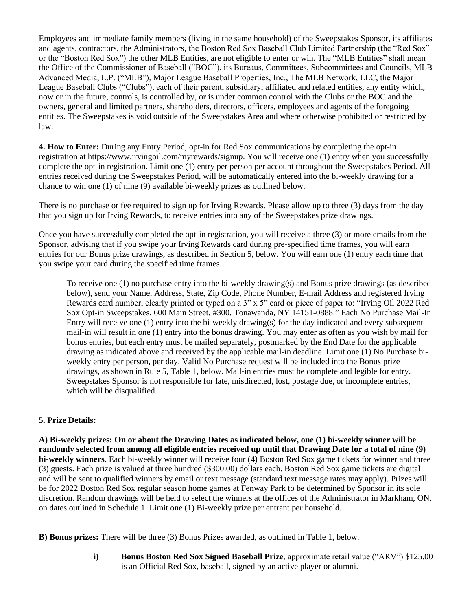Employees and immediate family members (living in the same household) of the Sweepstakes Sponsor, its affiliates and agents, contractors, the Administrators, the Boston Red Sox Baseball Club Limited Partnership (the "Red Sox" or the "Boston Red Sox") the other MLB Entities, are not eligible to enter or win. The "MLB Entities" shall mean the Office of the Commissioner of Baseball ("BOC"), its Bureaus, Committees, Subcommittees and Councils, MLB Advanced Media, L.P. ("MLB"), Major League Baseball Properties, Inc., The MLB Network, LLC, the Major League Baseball Clubs ("Clubs"), each of their parent, subsidiary, affiliated and related entities, any entity which, now or in the future, controls, is controlled by, or is under common control with the Clubs or the BOC and the owners, general and limited partners, shareholders, directors, officers, employees and agents of the foregoing entities. The Sweepstakes is void outside of the Sweepstakes Area and where otherwise prohibited or restricted by law.

**4. How to Enter:** During any Entry Period, opt-in for Red Sox communications by completing the opt-in registration at https://www.irvingoil.com/myrewards/signup. You will receive one (1) entry when you successfully complete the opt-in registration. Limit one (1) entry per person per account throughout the Sweepstakes Period. All entries received during the Sweepstakes Period, will be automatically entered into the bi-weekly drawing for a chance to win one (1) of nine (9) available bi-weekly prizes as outlined below.

There is no purchase or fee required to sign up for Irving Rewards. Please allow up to three (3) days from the day that you sign up for Irving Rewards, to receive entries into any of the Sweepstakes prize drawings.

Once you have successfully completed the opt-in registration, you will receive a three (3) or more emails from the Sponsor, advising that if you swipe your Irving Rewards card during pre-specified time frames, you will earn entries for our Bonus prize drawings, as described in Section 5, below. You will earn one (1) entry each time that you swipe your card during the specified time frames.

To receive one (1) no purchase entry into the bi-weekly drawing(s) and Bonus prize drawings (as described below), send your Name, Address, State, Zip Code, Phone Number, E-mail Address and registered Irving Rewards card number, clearly printed or typed on a 3" x 5" card or piece of paper to: "Irving Oil 2022 Red Sox Opt-in Sweepstakes, 600 Main Street, #300, Tonawanda, NY 14151-0888." Each No Purchase Mail-In Entry will receive one (1) entry into the bi-weekly drawing(s) for the day indicated and every subsequent mail-in will result in one (1) entry into the bonus drawing. You may enter as often as you wish by mail for bonus entries, but each entry must be mailed separately, postmarked by the End Date for the applicable drawing as indicated above and received by the applicable mail-in deadline. Limit one (1) No Purchase biweekly entry per person, per day. Valid No Purchase request will be included into the Bonus prize drawings, as shown in Rule 5, Table 1, below. Mail-in entries must be complete and legible for entry. Sweepstakes Sponsor is not responsible for late, misdirected, lost, postage due, or incomplete entries, which will be disqualified.

## **5. Prize Details:**

**A) Bi-weekly prizes: On or about the Drawing Dates as indicated below, one (1) bi-weekly winner will be randomly selected from among all eligible entries received up until that Drawing Date for a total of nine (9) bi-weekly winners.** Each bi-weekly winner will receive four (4) Boston Red Sox game tickets for winner and three (3) guests. Each prize is valued at three hundred (\$300.00) dollars each. Boston Red Sox game tickets are digital and will be sent to qualified winners by email or text message (standard text message rates may apply). Prizes will be for 2022 Boston Red Sox regular season home games at Fenway Park to be determined by Sponsor in its sole discretion. Random drawings will be held to select the winners at the offices of the Administrator in Markham, ON, on dates outlined in Schedule 1. Limit one (1) Bi-weekly prize per entrant per household.

**B) Bonus prizes:** There will be three (3) Bonus Prizes awarded, as outlined in Table 1, below.

**i) Bonus Boston Red Sox Signed Baseball Prize**, approximate retail value ("ARV") \$125.00 is an Official Red Sox, baseball, signed by an active player or alumni.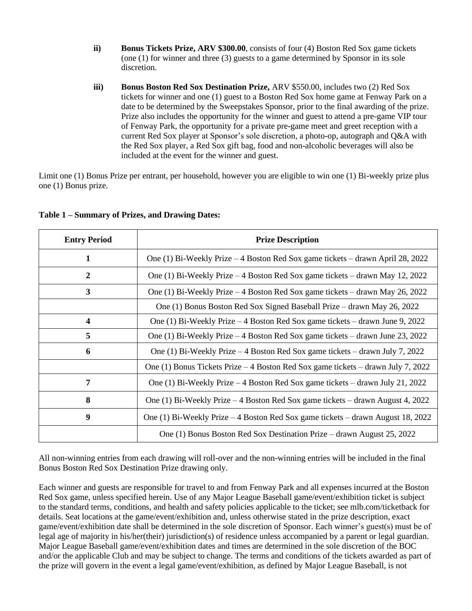- **ii) Bonus Tickets Prize, ARV \$300.00**, consists of four (4) Boston Red Sox game tickets (one (1) for winner and three (3) guests to a game determined by Sponsor in its sole discretion.
- **iii) Bonus Boston Red Sox Destination Prize, ARV \$550.00, includes two (2) Red Sox** tickets for winner and one (1) guest to a Boston Red Sox home game at Fenway Park on a date to be determined by the Sweepstakes Sponsor, prior to the final awarding of the prize. Prize also includes the opportunity for the winner and guest to attend a pre-game VIP tour of Fenway Park, the opportunity for a private pre-game meet and greet reception with a current Red Sox player at Sponsor's sole discretion, a photo-op, autograph and Q&A with the Red Sox player, a Red Sox gift bag, food and non-alcoholic beverages will also be included at the event for the winner and guest.

Limit one (1) Bonus Prize per entrant, per household, however you are eligible to win one (1) Bi-weekly prize plus one (1) Bonus prize.

| <b>Entry Period</b> | <b>Prize Description</b>                                                            |  |
|---------------------|-------------------------------------------------------------------------------------|--|
| 1                   | One (1) Bi-Weekly Prize – 4 Boston Red Sox game tickets – drawn April 28, 2022      |  |
| 2                   | One (1) Bi-Weekly Prize - 4 Boston Red Sox game tickets - drawn May 12, 2022        |  |
| 3                   | One (1) Bi-Weekly Prize - 4 Boston Red Sox game tickets - drawn May 26, 2022        |  |
|                     | One (1) Bonus Boston Red Sox Signed Baseball Prize – drawn May 26, 2022             |  |
| 4                   | One (1) Bi-Weekly Prize $-4$ Boston Red Sox game tickets $-$ drawn June 9, 2022     |  |
| 5                   | One (1) Bi-Weekly Prize $-4$ Boston Red Sox game tickets $-$ drawn June 23, 2022    |  |
| 6                   | One (1) Bi-Weekly Prize $-4$ Boston Red Sox game tickets $-$ drawn July 7, 2022     |  |
|                     | One (1) Bonus Tickets Prize $-4$ Boston Red Sox game tickets $-$ drawn July 7, 2022 |  |
| 7                   | One (1) Bi-Weekly Prize – 4 Boston Red Sox game tickets – drawn July 21, 2022       |  |
| 8                   | One (1) Bi-Weekly Prize $-4$ Boston Red Sox game tickets $-$ drawn August 4, 2022   |  |
| 9                   | One (1) Bi-Weekly Prize $-4$ Boston Red Sox game tickets $-$ drawn August 18, 2022  |  |
|                     | One (1) Bonus Boston Red Sox Destination Prize – drawn August 25, 2022              |  |

## **Table 1 – Summary of Prizes, and Drawing Dates:**

All non-winning entries from each drawing will roll-over and the non-winning entries will be included in the final Bonus Boston Red Sox Destination Prize drawing only.

Each winner and guests are responsible for travel to and from Fenway Park and all expenses incurred at the Boston Red Sox game, unless specified herein. Use of any Major League Baseball game/event/exhibition ticket is subject to the standard terms, conditions, and health and safety policies applicable to the ticket; see mlb.com/ticketback for details. Seat locations at the game/event/exhibition and, unless otherwise stated in the prize description, exact game/event/exhibition date shall be determined in the sole discretion of Sponsor. Each winner's guest(s) must be of legal age of majority in his/her(their) jurisdiction(s) of residence unless accompanied by a parent or legal guardian. Major League Baseball game/event/exhibition dates and times are determined in the sole discretion of the BOC and/or the applicable Club and may be subject to change. The terms and conditions of the tickets awarded as part of the prize will govern in the event a legal game/event/exhibition, as defined by Major League Baseball, is not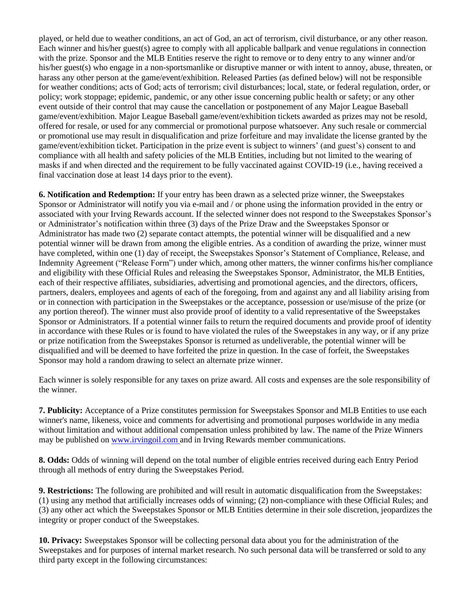played, or held due to weather conditions, an act of God, an act of terrorism, civil disturbance, or any other reason. Each winner and his/her guest(s) agree to comply with all applicable ballpark and venue regulations in connection with the prize. Sponsor and the MLB Entities reserve the right to remove or to deny entry to any winner and/or his/her guest(s) who engage in a non-sportsmanlike or disruptive manner or with intent to annoy, abuse, threaten, or harass any other person at the game/event/exhibition. Released Parties (as defined below) will not be responsible for weather conditions; acts of God; acts of terrorism; civil disturbances; local, state, or federal regulation, order, or policy; work stoppage; epidemic, pandemic, or any other issue concerning public health or safety; or any other event outside of their control that may cause the cancellation or postponement of any Major League Baseball game/event/exhibition. Major League Baseball game/event/exhibition tickets awarded as prizes may not be resold, offered for resale, or used for any commercial or promotional purpose whatsoever. Any such resale or commercial or promotional use may result in disqualification and prize forfeiture and may invalidate the license granted by the game/event/exhibition ticket. Participation in the prize event is subject to winners' (and guest's) consent to and compliance with all health and safety policies of the MLB Entities, including but not limited to the wearing of masks if and when directed and the requirement to be fully vaccinated against COVID-19 (i.e., having received a final vaccination dose at least 14 days prior to the event).

**6. Notification and Redemption:** If your entry has been drawn as a selected prize winner, the Sweepstakes Sponsor or Administrator will notify you via e-mail and / or phone using the information provided in the entry or associated with your Irving Rewards account. If the selected winner does not respond to the Sweepstakes Sponsor's or Administrator's notification within three (3) days of the Prize Draw and the Sweepstakes Sponsor or Administrator has made two (2) separate contact attempts, the potential winner will be disqualified and a new potential winner will be drawn from among the eligible entries. As a condition of awarding the prize, winner must have completed, within one (1) day of receipt, the Sweepstakes Sponsor's Statement of Compliance, Release, and Indemnity Agreement ("Release Form") under which, among other matters, the winner confirms his/her compliance and eligibility with these Official Rules and releasing the Sweepstakes Sponsor, Administrator, the MLB Entities, each of their respective affiliates, subsidiaries, advertising and promotional agencies, and the directors, officers, partners, dealers, employees and agents of each of the foregoing, from and against any and all liability arising from or in connection with participation in the Sweepstakes or the acceptance, possession or use/misuse of the prize (or any portion thereof). The winner must also provide proof of identity to a valid representative of the Sweepstakes Sponsor or Administrators. If a potential winner fails to return the required documents and provide proof of identity in accordance with these Rules or is found to have violated the rules of the Sweepstakes in any way, or if any prize or prize notification from the Sweepstakes Sponsor is returned as undeliverable, the potential winner will be disqualified and will be deemed to have forfeited the prize in question. In the case of forfeit, the Sweepstakes Sponsor may hold a random drawing to select an alternate prize winner.

Each winner is solely responsible for any taxes on prize award. All costs and expenses are the sole responsibility of the winner.

**7. Publicity:** Acceptance of a Prize constitutes permission for Sweepstakes Sponsor and MLB Entities to use each winner's name, likeness, voice and comments for advertising and promotional purposes worldwide in any media without limitation and without additional compensation unless prohibited by law. The name of the Prize Winners may be published on [www.irvingoil.com](http://www.theirving.com/) and in Irving Rewards member communications.

**8. Odds:** Odds of winning will depend on the total number of eligible entries received during each Entry Period through all methods of entry during the Sweepstakes Period.

**9. Restrictions:** The following are prohibited and will result in automatic disqualification from the Sweepstakes: (1) using any method that artificially increases odds of winning; (2) non-compliance with these Official Rules; and (3) any other act which the Sweepstakes Sponsor or MLB Entities determine in their sole discretion, jeopardizes the integrity or proper conduct of the Sweepstakes.

**10. Privacy:** Sweepstakes Sponsor will be collecting personal data about you for the administration of the Sweepstakes and for purposes of internal market research. No such personal data will be transferred or sold to any third party except in the following circumstances: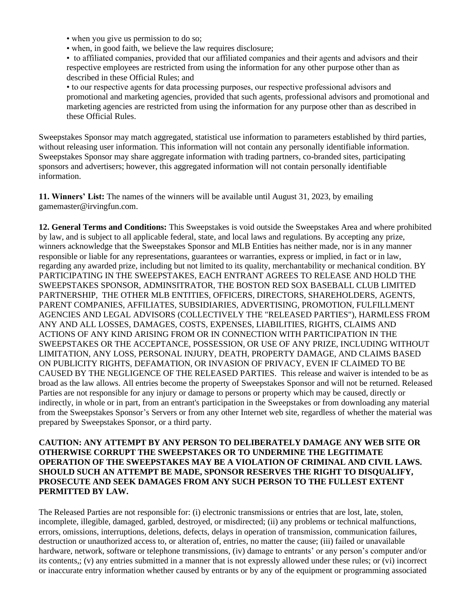• when you give us permission to do so;

• when, in good faith, we believe the law requires disclosure;

• to affiliated companies, provided that our affiliated companies and their agents and advisors and their respective employees are restricted from using the information for any other purpose other than as described in these Official Rules; and

• to our respective agents for data processing purposes, our respective professional advisors and promotional and marketing agencies, provided that such agents, professional advisors and promotional and marketing agencies are restricted from using the information for any purpose other than as described in these Official Rules.

Sweepstakes Sponsor may match aggregated, statistical use information to parameters established by third parties, without releasing user information. This information will not contain any personally identifiable information. Sweepstakes Sponsor may share aggregate information with trading partners, co-branded sites, participating sponsors and advertisers; however, this aggregated information will not contain personally identifiable information.

**11. Winners' List:** The names of the winners will be available until August 31, 2023, by emailing gamemaster@irvingfun.com.

**12. General Terms and Conditions:** This Sweepstakes is void outside the Sweepstakes Area and where prohibited by law, and is subject to all applicable federal, state, and local laws and regulations. By accepting any prize, winners acknowledge that the Sweepstakes Sponsor and MLB Entities has neither made, nor is in any manner responsible or liable for any representations, guarantees or warranties, express or implied, in fact or in law, regarding any awarded prize, including but not limited to its quality, merchantability or mechanical condition. BY PARTICIPATING IN THE SWEEPSTAKES, EACH ENTRANT AGREES TO RELEASE AND HOLD THE SWEEPSTAKES SPONSOR, ADMINSITRATOR, THE BOSTON RED SOX BASEBALL CLUB LIMITED PARTNERSHIP, THE OTHER MLB ENTITIES, OFFICERS, DIRECTORS, SHAREHOLDERS, AGENTS, PARENT COMPANIES, AFFILIATES, SUBSIDIARIES, ADVERTISING, PROMOTION, FULFILLMENT AGENCIES AND LEGAL ADVISORS (COLLECTIVELY THE "RELEASED PARTIES"), HARMLESS FROM ANY AND ALL LOSSES, DAMAGES, COSTS, EXPENSES, LIABILITIES, RIGHTS, CLAIMS AND ACTIONS OF ANY KIND ARISING FROM OR IN CONNECTION WITH PARTICIPATION IN THE SWEEPSTAKES OR THE ACCEPTANCE, POSSESSION, OR USE OF ANY PRIZE, INCLUDING WITHOUT LIMITATION, ANY LOSS, PERSONAL INJURY, DEATH, PROPERTY DAMAGE, AND CLAIMS BASED ON PUBLICITY RIGHTS, DEFAMATION, OR INVASION OF PRIVACY, EVEN IF CLAIMED TO BE CAUSED BY THE NEGLIGENCE OF THE RELEASED PARTIES. This release and waiver is intended to be as broad as the law allows. All entries become the property of Sweepstakes Sponsor and will not be returned. Released Parties are not responsible for any injury or damage to persons or property which may be caused, directly or indirectly, in whole or in part, from an entrant's participation in the Sweepstakes or from downloading any material from the Sweepstakes Sponsor's Servers or from any other Internet web site, regardless of whether the material was prepared by Sweepstakes Sponsor, or a third party.

## **CAUTION: ANY ATTEMPT BY ANY PERSON TO DELIBERATELY DAMAGE ANY WEB SITE OR OTHERWISE CORRUPT THE SWEEPSTAKES OR TO UNDERMINE THE LEGITIMATE OPERATION OF THE SWEEPSTAKES MAY BE A VIOLATION OF CRIMINAL AND CIVIL LAWS. SHOULD SUCH AN ATTEMPT BE MADE, SPONSOR RESERVES THE RIGHT TO DISQUALIFY, PROSECUTE AND SEEK DAMAGES FROM ANY SUCH PERSON TO THE FULLEST EXTENT PERMITTED BY LAW.**

The Released Parties are not responsible for: (i) electronic transmissions or entries that are lost, late, stolen, incomplete, illegible, damaged, garbled, destroyed, or misdirected; (ii) any problems or technical malfunctions, errors, omissions, interruptions, deletions, defects, delays in operation of transmission, communication failures, destruction or unauthorized access to, or alteration of, entries, no matter the cause; (iii) failed or unavailable hardware, network, software or telephone transmissions, (iv) damage to entrants' or any person's computer and/or its contents,; (v) any entries submitted in a manner that is not expressly allowed under these rules; or (vi) incorrect or inaccurate entry information whether caused by entrants or by any of the equipment or programming associated